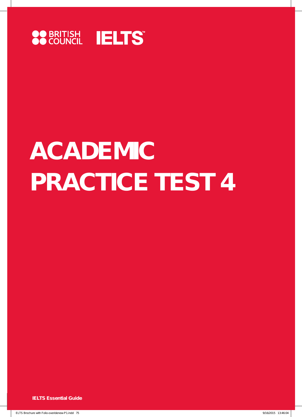

# **ACADEMIC PRACTICE TEST 4**

**IELTS Essential Guide**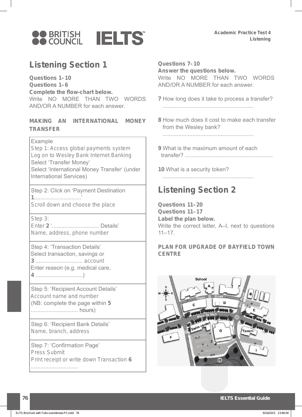

# **Listening Section 1**

**Questions 1–10 Questions 1–6 Complete the flow-chart below.** Write NO MORE THAN TWO WORDS AND/OR A NUMBER for each answer.

# **MAKING AN INTERNATIONAL MONEY TRANSFER**

#### Example

 Step 1: Access global payments system Log on to Wesley Bank Internet Banking Select 'Transfer Money' Select 'International Money Transfer' (under International Services)

 Step 2: Click on 'Payment Destination **1** ..............................' Scroll down and choose the place

Step 3:

 Enter **2** ' .............................. Details' Name, address, phone number

 Step 4: 'Transaction Details' Select transaction, savings or **3** .............................. account Enter reason (e.g. medical care, **4** ..............................)

 Step 5: 'Recipient Account Details' Account name and number (NB: complete the page within **5** .............................. hours)

 Step 6: 'Recipient Bank Details' Name, branch, address

 Step 7: 'Confirmation Page' Press Submit Print receipt or write down Transaction **6** ..............................

## **Questions 7–10**

**Answer the questions below.** Write NO MORE THAN TWO WORDS AND/OR A NUMBER for each answer.

- **7** How long does it take to process a transfer? ..........................................................
- **8** How much does it cost to make each transfer from the Wesley bank?

..........................................................

**9** What is the maximum amount of each transfer? ........................................................

**10** What is a security token?

..........................................................

# **Listening Section 2**

**Questions 11–20 Questions 11–17 Label the plan below.** Write the correct letter, A–I, next to questions  $11 - 17$ .

# **PLAN FOR UPGRADE OF BAYFIELD TOWN CENTRE**

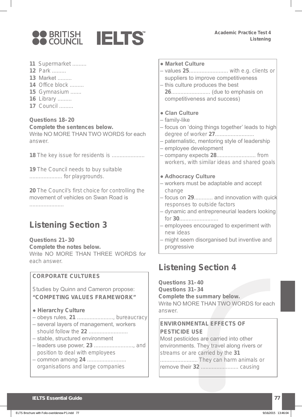



- **11** Supermarket .........
- **12** Park .........
- **13** Market .........
- **14** Office block .........
- **15** Gymnasium .......
- **16** Library .........
- **17** Council .........

# **Questions 18–20**

**Complete the sentences below.** Write NO MORE THAN TWO WORDS for each answer.

**18** The key issue for residents is .....................

**19** The Council needs to buy suitable ..................... for playgrounds.

**20** The Council's first choice for controlling the movement of vehicles on Swan Road is

......................

# **Listening Section 3**

**Questions 21–30 Complete the notes below.** Write NO MORE THAN THREE WORDS for each answer.

# **CORPORATE CULTURES**

 Studies by Quinn and Cameron propose:  **"COMPETING VALUES FRAMEWORK"** 

- **Hierarchy Culture**
- obeys rules, **21** ......................., bureaucracy
- several layers of management, workers should follow the **22** .........................
- stable, structured environment
- leaders use power, **23** ........................., and position to deal with employees
- common among **24** ......................... organisations and large companies
- **Market Culture**
- values **25** ......................... with e.g. clients or suppliers to improve competitiveness – this culture produces the best
- **26** ......................... (due to emphasis on competitiveness and success)

# **● Clan Culture**

- family-like
- focus on 'doing things together' leads to high degree of worker **27**.........................
- paternalistic, mentoring style of leadership
- employee development
- company expects **28** ......................... from workers, with similar ideas and shared goals

## **● Adhocracy Culture**

- workers must be adaptable and accept change
- focus on **29** ............ and innovation with quick responses to outside factors
- dynamic and entrepreneurial leaders looking for **30**.........................
- employees encouraged to experiment with new ideas
- might seem disorganised but inventive and progressive

# **Listening Section 4**

**Questions 31–40 Questions 31–34 Complete the summary below.** Write NO MORE THAN TWO WORDS for each answer.

# **ENVIRONMENTAL EFFECTS OF PESTICIDE USE**

 Most pesticides are carried into other environments. They travel along rivers or streams or are carried by the **31** ........................ They can harm animals or remove their **32** ........................ causing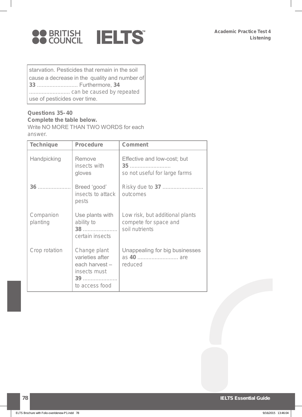

starvation. Pesticides that remain in the soil cause a decrease in the quality and number of **33** .......................... Furthermore, **34** .......................... can be caused by repeated use of pesticides over time.

## **Questions 35–40 Complete the table below.**

Write NO MORE THAN TWO WORDS for each answer.

| <b>Technique</b>      | <b>Procedure</b>                                                                         | <b>Comment</b>                                                             |
|-----------------------|------------------------------------------------------------------------------------------|----------------------------------------------------------------------------|
| Handpicking           | Remove<br>insects with<br>gloves                                                         | Effective and low-cost; but<br>35<br>so not useful for large farms         |
| 36                    | Breed 'good'<br>insects to attack<br>pests                                               | outcomes                                                                   |
| Companion<br>planting | Use plants with<br>ability to<br>38<br>certain insects                                   | Low risk, but additional plants<br>compete for space and<br>soil nutrients |
| Crop rotation         | Change plant<br>varieties after<br>each harvest-<br>insects must<br>39<br>to access food | Unappealing for big businesses<br>reduced                                  |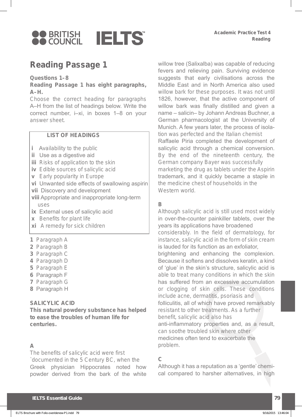

# **Reading Passage 1**

#### **Questions 1–8**

**Reading Passage 1 has eight paragraphs, A–H .**

Choose the correct heading for paragraphs A–H from the list of headings below. Write the correct number, i–xi, in boxes 1–8 on your answer sheet.

#### **LIST OF HEADINGS**

- *i* Availability to the public
- **ii** Use as a digestive aid
- **iii** Risks of application to the skin
- **iv** Edible sources of salicylic acid
- **v** Early popularity in Europe
- **vi** Unwanted side effects of swallowing aspirin
- **vii** Discovery and development
- **viii** Appropriate and inappropriate long-term uses
- **ix** External uses of salicylic acid
- **x** Benefits for plant life
- **xi** A remedy for sick children
- **1** Paragraph A
- **2** Paragraph B
- **3** Paragraph C
- **4** Paragraph D
- **5** Paragraph E
- **6** Paragraph F
- **7** Paragraph G
- **8** Paragraph H

#### **SALICYLIC ACID**

**This natural powdery substance has helped to ease the troubles of human life for centuries.**

## **A**

The benefits of salicylic acid were first `documented in the 5 Century BC, when the Greek physician Hippocrates noted how powder derived from the bark of the white

willow tree (Salixalba) was capable of reducing fevers and relieving pain. Surviving evidence suggests that early civilisations across the Middle East and in North America also used willow bark for these purposes. It was not until 1826, however, that the active component of willow bark was finally distilled and given a name – salicin– by Johann Andreas Buchner, a German pharmacologist at the University of Munich. A few years later, the process of isolation was perfected and the Italian chemist Raffaele Piria completed the development of salicylic acid through a chemical conversion. By the end of the nineteenth century, the German company Bayer was successfully marketing the drug as tablets under the Aspirin trademark, and it quickly became a staple in the medicine chest of households in the Western world.

# **B**

Although salicylic acid is still used most widely in over-the-counter painkiller tablets, over the years its applications have broadened considerably. In the field of dermatology, for instance, salicylic acid in the form of skin cream is lauded for its function as an exfoliator, brightening and enhancing the complexion. Because it softens and dissolves keratin, a kind of 'glue' in the skin's structure, salicylic acid is able to treat many conditions in which the skin has suffered from an excessive accumulation or clogging of skin cells. These conditions include acne, dermatitis, psoriasis and folliculitis, all of which have proved remarkably resistant to other treatments. As a further benefit, salicylic acid also has anti-inflammatory properties and, as a result, can soothe troubled skin where other medicines often tend to exacerbate the problem.

# **C**

Although it has a reputation as a 'gentle' chemical compared to harsher alternatives, in high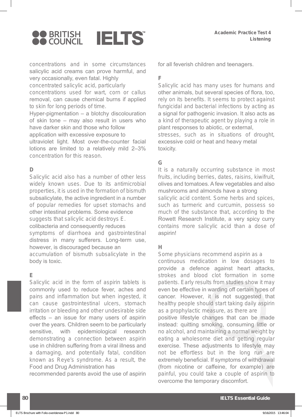

concentrations and in some circumstances salicylic acid creams can prove harmful, and very occasionally, even fatal. Highly concentrated salicylic acid, particularly concentrations used for wart, corn or callus removal, can cause chemical burns if applied to skin for long periods of time. Hyper-pigmentation – a blotchy discolouration

of skin tone – may also result in users who have darker skin and those who follow application with excessive exposure to ultraviolet light. Most over-the-counter facial lotions are limited to a relatively mild 2–3% concentration for this reason.

#### **D**

Salicylic acid also has a number of other less widely known uses. Due to its antimicrobial properties, it is used in the formation of bismuth subsalicylate, the active ingredient in a number of popular remedies for upset stomachs and other intestinal problems. Some evidence suggests that salicylic acid destroys E. colibacteria and consequently reduces symptoms of diarrhoea and gastrointestinal distress in many sufferers. Long-term use, however, is discouraged because an accumulation of bismuth subsalicylate in the

body is toxic.

## **E**

Salicylic acid in the form of aspirin tablets is commonly used to reduce fever, aches and pains and inflammation but when ingested, it can cause gastrointestinal ulcers, stomach irritation or bleeding and other undesirable side effects – an issue for many users of aspirin over the years. Children seem to be particularly sensitive, with epidemiological research demonstrating a connection between aspirin use in children suffering from a viral illness and a damaging, and potentially fatal, condition known as Reye's syndrome. As a result, the Food and Drug Administration has

recommended parents avoid the use of aspirin

for all feverish children and teenagers.

# **F**

Salicylic acid has many uses for humans and other animals, but several species of flora, too, rely on its benefits. It seems to protect against fungicidal and bacterial infections by acting as a signal for pathogenic invasion. It also acts as a kind of therapeutic agent by playing a role in plant responses to abiotic, or external,

stresses, such as in situations of drought, excessive cold or heat and heavy metal toxicity.

# **G**

It is a naturally occurring substance in most fruits, including berries, dates, raisins, kiwifruit, olives and tomatoes. A few vegetables and also mushrooms and almonds have a strong salicylic acid content. Some herbs and spices, such as turmeric and curcumin, possess so much of the substance that, according to the Rowett Research Institute, a very spicy curry contains more salicylic acid than a dose of aspirin!

## **H**

Some physicians recommend aspirin as a continuous medication in low dosages to provide a defence against heart attacks, strokes and blood clot formation in some patients. Early results from studies show it may even be effective in warding off certain types of cancer. However, it is not suggested that healthy people should start taking daily aspirin as a prophylactic measure, as there are positive lifestyle changes that can be made instead: quitting smoking, consuming little or no alcohol, and maintaining a normal weight by eating a wholesome diet and getting regular exercise. These adjustments to lifestyle may not be effortless but in the long run are extremely beneficial. If symptoms of withdrawal (from nicotine or caffeine, for example) are painful, you could take a couple of aspirin to overcome the temporary discomfort.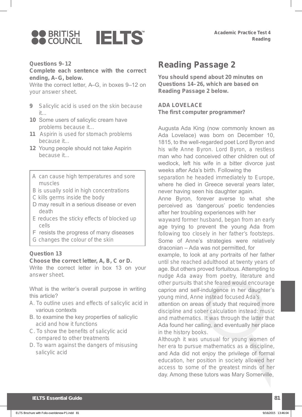

#### **Questions 9–12**

**Complete each sentence with the correct**  ending, A-G, below.

Write the correct letter, A–G, in boxes 9–12 on your answer sheet.

- **9** Salicylic acid is used on the skin because it...
- **10** Some users of salicylic cream have problems because it...
- **11** Aspirin is used for stomach problems because it...
- **12** Young people should not take Aspirin because it...
- A can cause high temperatures and sore muscles
- B is usually sold in high concentrations
- C kills germs inside the body
- D may result in a serious disease or even death
- E reduces the sticky effects of blocked up cells
- F resists the progress of many diseases
- G changes the colour of the skin

## **Question 13**

#### Choose the correct letter, A, B, C or D.

Write the correct letter in box 13 on your answer sheet.

What is the writer's overall purpose in writing this article?

- A. To outline uses and effects of salicylic acid in various contexts
- B. to examine the key properties of salicylic acid and how it functions
- C. To show the benefits of salicylic acid compared to other treatments
- D. To warn against the dangers of misusing salicylic acid

# **Reading Passage 2**

**You should spend about 20 minutes on Questions 14 – 26 , which are based on Reading Passage 2 below.**

**ADA LOVELACE The first computer programmer?**

Augusta Ada King (now commonly known as Ada Lovelace) was born on December 10, 1815, to the well-regarded poet Lord Byron and his wife Anne Byron. Lord Byron, a restless man who had conceived other children out of wedlock, left his wife in a bitter divorce just weeks after Ada's birth. Following the

separation he headed immediately to Europe, where he died in Greece several years later, never having seen his daughter again.

Anne Byron, forever averse to what she perceived as 'dangerous' poetic tendencies after her troubling experiences with her

wayward former husband, began from an early age trying to prevent the young Ada from following too closely in her father's footsteps. Some of Anne's strategies were relatively draconian – Ada was not permitted, for

example, to look at any portraits of her father until she reached adulthood at twenty years of age. But others proved fortuitous. Attempting to nudge Ada away from poetry, literature and other pursuits that she feared would encourage caprice and self-indulgence in her daughter's young mind, Anne instead focused Ada's

attention on areas of study that required more discipline and sober calculation instead: music and mathematics. It was through the latter that Ada found her calling, and eventually her place in the history books.

Although it was unusual for young women of her era to pursue mathematics as a discipline, and Ada did not enjoy the privilege of formal education, her position in society allowed her access to some of the greatest minds of her day. Among these tutors was Mary Somerville,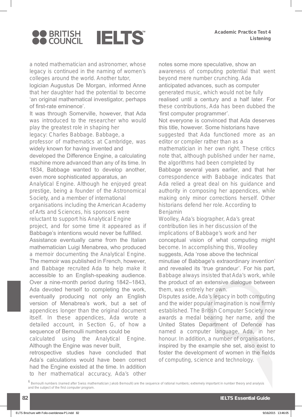

a noted mathematician and astronomer, whose legacy is continued in the naming of women's colleges around the world. Another tutor,

logician Augustus De Morgan, informed Anne that her daughter had the potential to become ' an original mathematical investigator, perhaps of first-rate eminence'.

It was through Somerville, however, that Ada was introduced to the researcher who would play the greatest role in shaping her legacy: Charles Babbage. Babbage, a professor of mathematics at Cambridge, was widely known for having invented and developed the Difference Engine, a calculating machine more advanced than any of its time. In 1834, Babbage wanted to develop another, even more sophisticated apparatus, an Analytical Engine. Although he enjoyed great prestige, being a founder of the Astronomical Society, and a member of international organisations including the American Academy of Arts and Sciences, his sponsors were reluctant to support his Analytical Engine project, and for some time it appeared as if Babbage's intentions would never be fulfilled. Assistance eventually came from the Italian mathematician Luigi Menabrea, who produced a memoir documenting the Analytical Engine. The memoir was published in French, however, and Babbage recruited Ada to help make it accessible to an English-speaking audience. Over a nine-month period during 1842–1843, Ada devoted herself to completing the work, eventually producing not only an English version of Menabrea's work, but a set of appendices longer than the original document itself. In these appendices, Ada wrote a detailed account, in Section G, of how a sequence of Bernoulli numbers could be calculated using the Analytical Engine. Although the Engine was never built,

retrospective studies have concluded that Ada's calculations would have been correct had the Engine existed at the time. In addition to her mathematical accuracy, Ada's other

notes some more speculative, show an awareness of computing potential that went beyond mere number crunching. Ada anticipated advances, such as computer generated music, which would not be fully realised until a century and a half later. For these contributions, Ada has been dubbed the 'first computer programmer'.

Not everyone is convinced that Ada deserves this title, however. Some historians have suggested that Ada functioned more as an editor or compiler rather than as a

mathematician in her own right. These critics note that, although published under her name, the algorithms had been completed by

Babbage several years earlier, and that her correspondence with Babbage indicates that Ada relied a great deal on his guidance and authority in composing her appendices, while making only minor corrections herself. Other historians defend her role. According to Benjamin

Woolley, Ada's biographer, Ada's great contribution lies in her discussion of the implications of Babbage's work and her conceptual vision of what computing might become. In accomplishing this, Woolley suggests, Ada 'rose above the technical minutiae of Babbage's extraordinary invention' and revealed its 'true grandeur'. For his part, Babbage always insisted that Ada's work, while the product of an extensive dialogue between them, was entirely her own.

Disputes aside, Ada's legacy in both computing and the wider popular imagination is now firmly established. The British Computer Society now awards a medal bearing her name, and the United States Department of Defence has named a computer language, Ada, in her honour. In addition, a number of organisations, inspired by the example she set, also exist to foster the development of women in the fields of computing, science and technology.

<sup>6</sup>  *Bernoulli numbers (named after Swiss mathematician Jakob Bernoulli) are the sequence of rational numbers; extremely important in number theory and analysis and the subject of the first computer program.*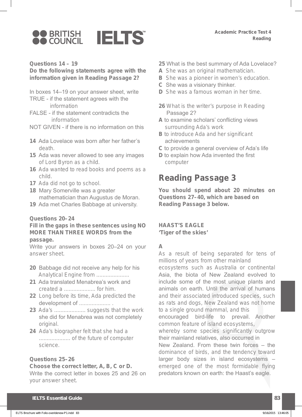

#### **Questions 14 – 19**

#### **Do the following statements agree with the information given in Reading Passage 2?**

- In boxes 14–19 on your answer sheet, write
- TRUE if the statement agrees with the information
- FALSE if the statement contradicts the information
- NOT GIVEN if there is no information on this
- **14** Ada Lovelace was born after her father's death.
- **15** Ada was never allowed to see any images of Lord Byron as a child.
- **16** Ada wanted to read books and poems as a child.
- **17** Ada did not go to school.
- **18** Mary Somerville was a greater mathematician than Augustus de Moran.
- **19** Ada met Charles Babbage at university.

#### **Questions 20 – 24**

#### **Fill in the gaps in these sentences using NO MORE THAN THREE WORDS from the passage.**

Write your answers in boxes 20–24 on your answer sheet.

- **20** Babbage did not receive any help for his Analytical Engine from ....................
- **21** Ada translated Menabrea's work and created a .................... for him.
- **22** Long before its time, Ada predicted the development of ......................
- **23** Ada's .................... suggests that the work she did for Menabrea was not completely original.
- **24** Ada's biographer felt that she had a .................... of the future of computer science.

#### **Questions 25–26**

# Choose the correct letter, A, B, C or D. Write the correct letter in boxes 25 and 26 on your answer sheet.

- **25** What is the best summary of Ada Lovelace?
- **A** She was an original mathematician.
- **B** She was a pioneer in women's education.
- **C** She was a visionary thinker.
- **D** She was a famous woman in her time.
- **26** What is the writer's purpose in Reading Passage 2?
- **A** to examine scholars' conflicting views surrounding Ada's work
- **B** to introduce Ada and her significant achievements
- **C** to provide a general overview of Ada's life
- **D** to explain how Ada invented the first computer

# **Reading Passage 3**

**You should spend about 20 minutes on Questions 27 – 40 , which are based on Reading Passage 3 below.**

#### **HAAST'S EAGLE**

**'Tiger of the skies'**

#### **A**

As a result of being separated for tens of millions of years from other mainland

ecosystems such as Australia or continental Asia, the biota of New Zealand evolved to include some of the most unique plants and animals on earth. Until the arrival of humans and their associated introduced species, such as rats and dogs, New Zealand was not home to a single ground mammal, and this

encouraged bird-life to prevail. Another common feature of island ecosystems,

whereby some species significantly outgrow their mainland relatives, also occurred in

New Zealand. From these twin forces – the dominance of birds, and the tendency toward larger body sizes in island ecosystems – emerged one of the most formidable flying predators known on earth: the Haast's eagle.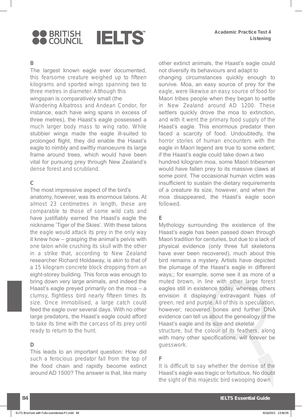

#### **B**

The largest known eagle ever documented, this fearsome creature weighed up to fifteen kilograms and sported wings spanning two to three metres in diameter. Although this wingspan is comparatively small (the

Wandering Albatross and Andean Condor, for instance, each have wing spans in excess of three metres), the Haast's eagle possessed a much larger body mass to wing ratio. While stubbier wings made the eagle ill-suited to prolonged flight, they did enable the Haast's eagle to nimbly and swiftly manoeuvre its large frame around trees, which would have been vital for pursuing prey through New Zealand's dense forest and scrubland.

# **C**

The most impressive aspect of the bird's anatomy, however, was its enormous talons. At almost 23 centimetres in length, these are comparable to those of some wild cats and have justifiably earned the Haast's eagle the nickname 'Tiger of the Skies'. With these talons the eagle would attack its prey in the only way it knew how – grasping the animal's pelvis with one talon while crushing its skull with the other in a strike that, according to New Zealand researcher Richard Holdaway, is akin to that of a 15 kilogram concrete block dropping from an eight-storey building. This force was enough to bring down very large animals, and indeed the Haast's eagle preyed primarily on the moa – a clumsy, flightless bird nearly fifteen times its size. Once immobilised, a large catch could feed the eagle over several days. With no other large predators, the Haast's eagle could afford to take its time with the carcass of its prey until ready to return to the hunt.

## **D**

This leads to an important question: How did such a ferocious predator fall from the top of the food chain and rapidly become extinct around AD 1500? The answer is that, like many other extinct animals, the Haast's eagle could not diversify its behaviours and adapt to changing circumstances quickly enough to survive. Moa, an easy source of prey for the eagle, were likewise an easy source of food for Maori tribes people when they began to settle in New Zealand around AD 1200. These settlers quickly drove the moa to extinction, and with it went the primary food supply of the Haast's eagle. This enormous predator then faced a scarcity of food. Undoubtedly, the horror stories of human encounters with the eagle in Maori legend are true to some extent; if the Haast's eagle could take down a two hundred kilogram moa, some Maori tribesmen would have fallen prey to its massive claws at some point. The occasional human victim was insufficient to sustain the dietary requirements of a creature its size, however, and when the moa disappeared, the Haast's eagle soon followed.

## **E**

Mythology surrounding the existence of the Haast's eagle has been passed down through Maori tradition for centuries, but due to a lack of physical evidence (only three full skeletons have ever been recovered), much about this bird remains a mystery. Artists have depicted the plumage of the Haast's eagle in different ways;; for example, some see it as more of a muted brown, in line with other large forest eagles still in existence today, whereas others envision it displaying extravagant hues of green, red and purple. All of this is speculation, however; recovered bones and further DNA evidence can tell us about the genealogy of the Haast's eagle and its size and skeletal

structure, but the colour of its feathers, along with many other specifications, will forever be guesswork.

# **F**

It is difficult to say whether the demise of the Haast's eagle was tragic or fortuitous. No doubt the sight of this majestic bird swooping down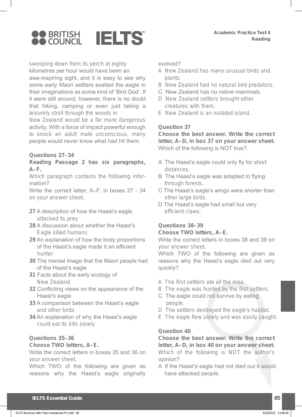

swooping down from its perch at eighty kilometres per hour would have been an awe-inspiring sight, and it is easy to see why some early Maori settlers exalted the eagle in their imaginations as some kind of 'Bird God'. If it were still around, however, there is no doubt that hiking, camping or even just taking a leisurely stroll through the woods in

New Zealand would be a far more dangerous activity. With a force of impact powerful enough to knock an adult male unconscious, many people would never know what had hit them.

#### **Questions 27–34**

#### **Reading Passage 2 has six paragraphs, A–F .**

Which paragraph contains the following information?

Write the correct letter, A–F, in boxes 27 - 34 on your answer sheet.

- **27** A description of how the Haast's eagle attacked its prey
- **28** A discussion about whether the Haast's Eagle killed humans
- **29** An explanation of how the body proportions of the Haast's eagle made it an efficient hunter
- **30** The mental image that the Maori people had of the Haast's eagle
- **31** Facts about the early ecology of New Zealand
- **32** Conflicting views on the appearance of the Haast's eagle
- **33** A comparison between the Haast's eagle and other birds
- **34** An explanation of why the Haast's eagle could eat its kills slowly

## **Questions 35–36**

#### **Choose TWO letters, A–E .**

Write the correct letters in boxes 35 and 36 on your answer sheet.

Which TWO of the following are given as reasons why the Haast's eagle originally evolved?

- A New Zealand has many unusual birds and plants.
- B New Zealand had no natural bird predators.
- C New Zealand has no native mammals.
- D New Zealand settlers brought other creatures with them.
- E New Zealand is an isolated island.

#### **Question 37**

**Choose the best answer. Write the correct**  letter, A–D, in box 37 on your answer sheet. Which of the following is NOT true?

- A The Haast's eagle could only fly for short distances.
- B The Haast's eagle was adapted to flying through forests.
- C The Haast's eagle's wings were shorter than other large birds.
- D The Haast's eagle had small but very efficient claws.

# **Questions 38–39**

#### **Choose TWO letters, A–E .**

Write the correct letters in boxes 38 and 39 on your answer sheet.

Which TWO of the following are given as reasons why the Haast's eagle died out very quickly?

- A The first settlers ate all the moa.
- B The eagle was hunted by the first settlers.
- C The eagle could not survive by eating people.
- D The settlers destroyed the eagle's habitat.
- E The eagle flew slowly and was easily caught.

## **Question 40**

**Choose the best answer. Write the correct**  letter, A–D, in box 40 on your answer sheet. Which of the following is NOT the author's opinion?

A If the Haast's eagle had not died out it would have attacked people.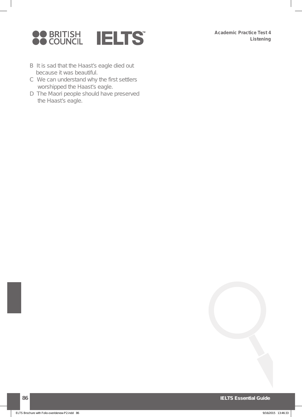

- B It is sad that the Haast's eagle died out because it was beautiful.
- C We can understand why the first settlers worshipped the Haast's eagle.
- D The Maori people should have preserved the Haast's eagle.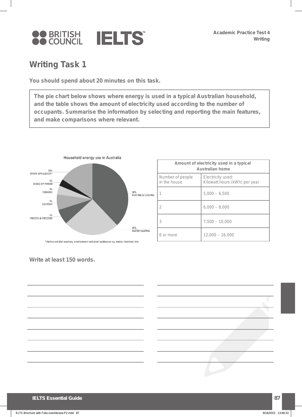

# **Writing Task 1**

**You should spend about 20 minutes on this task.**

 **The pie chart below shows where energy is used in a typical Australian household, and the table shows the amount of electricity used according to the number of occupants. Summarise the information by selecting and reporting the main features, and make comparisons where relevant.**



| Amount of electricity used in a typical<br><b>Australian home</b> |                                                    |  |
|-------------------------------------------------------------------|----------------------------------------------------|--|
| Number of people<br>in the house                                  | Electricity used:<br>Kilowatt hours (kWh) per year |  |
|                                                                   | $5.000 - 6.500$                                    |  |
| 2                                                                 | $6.000 - 8.000$                                    |  |
| 3                                                                 | $7,500 - 10,000$                                   |  |
| 6 or more                                                         | $12,000 - 16,000$                                  |  |

**Write at least 150 words.**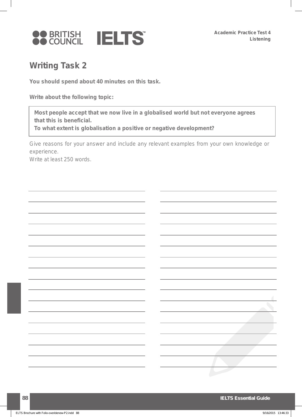

# **Writing Task 2**

**You should spend about 40 minutes on this task.**

**Write about the following topic:**

 **Most people accept that we now live in a globalised world but not everyone agrees that this is beneficial.**

 **To what extent is globalisation a positive or negative development?**

Give reasons for your answer and include any relevant examples from your own knowledge or experience.

Write at least 250 words.